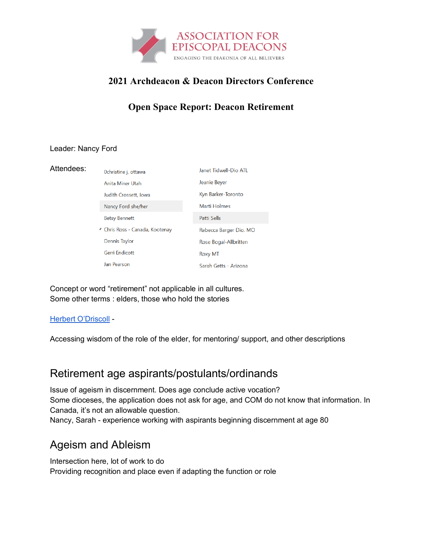

### **2021 Archdeacon & Deacon Directors Conference**

#### **Open Space Report: Deacon Retirement**

#### Leader: Nancy Ford

| Attendees: | Ochristine j, ottawa          | Janet Tidwell-Dio ATL  |
|------------|-------------------------------|------------------------|
|            | Anita Miner Utah              | Jeanie Beyer           |
|            | Judith Crossett, Iowa         | Kyn Barker-Toronto     |
|            | Nancy Ford she/her            | Marti Holmes           |
|            | <b>Betsy Bennett</b>          | <b>Patti Sells</b>     |
|            | Chris Ross - Canada, Kootenay | Rebecca Barger Dio. MO |
|            | Dennis Taylor                 | Rose Bogal-Allbritten  |
|            | <b>Gerri Endicott</b>         | <b>Roxy MT</b>         |
|            | Jan Pearson                   | Sarah Getts - Arizona  |

Concept or word "retirement" not applicable in all cultures. Some other terms : elders, those who hold the stories

#### Herbert O'Driscoll -

Accessing wisdom of the role of the elder, for mentoring/ support, and other descriptions

## Retirement age aspirants/postulants/ordinands

Issue of ageism in discernment. Does age conclude active vocation? Some dioceses, the application does not ask for age, and COM do not know that information. In Canada, it's not an allowable question.

Nancy, Sarah - experience working with aspirants beginning discernment at age 80

## Ageism and Ableism

Intersection here, lot of work to do Providing recognition and place even if adapting the function or role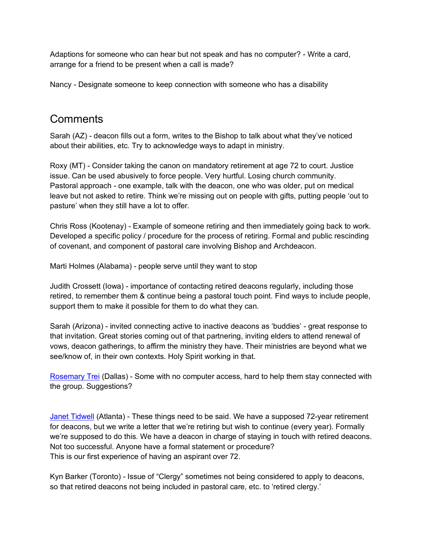Adaptions for someone who can hear but not speak and has no computer? - Write a card, arrange for a friend to be present when a call is made?

Nancy - Designate someone to keep connection with someone who has a disability

### **Comments**

Sarah (AZ) - deacon fills out a form, writes to the Bishop to talk about what they've noticed about their abilities, etc. Try to acknowledge ways to adapt in ministry.

Roxy (MT) - Consider taking the canon on mandatory retirement at age 72 to court. Justice issue. Can be used abusively to force people. Very hurtful. Losing church community. Pastoral approach - one example, talk with the deacon, one who was older, put on medical leave but not asked to retire. Think we're missing out on people with gifts, putting people 'out to pasture' when they still have a lot to offer.

Chris Ross (Kootenay) - Example of someone retiring and then immediately going back to work. Developed a specific policy / procedure for the process of retiring. Formal and public rescinding of covenant, and component of pastoral care involving Bishop and Archdeacon.

Marti Holmes (Alabama) - people serve until they want to stop

Judith Crossett (Iowa) - importance of contacting retired deacons regularly, including those retired, to remember them & continue being a pastoral touch point. Find ways to include people, support them to make it possible for them to do what they can.

Sarah (Arizona) - invited connecting active to inactive deacons as 'buddies' - great response to that invitation. Great stories coming out of that partnering, inviting elders to attend renewal of vows, deacon gatherings, to affirm the ministry they have. Their ministries are beyond what we see/know of, in their own contexts. Holy Spirit working in that.

Rosemary Trei (Dallas) - Some with no computer access, hard to help them stay connected with the group. Suggestions?

Janet Tidwell (Atlanta) - These things need to be said. We have a supposed 72-year retirement for deacons, but we write a letter that we're retiring but wish to continue (every year). Formally we're supposed to do this. We have a deacon in charge of staying in touch with retired deacons. Not too successful. Anyone have a formal statement or procedure? This is our first experience of having an aspirant over 72.

Kyn Barker (Toronto) - Issue of "Clergy" sometimes not being considered to apply to deacons, so that retired deacons not being included in pastoral care, etc. to 'retired clergy.'